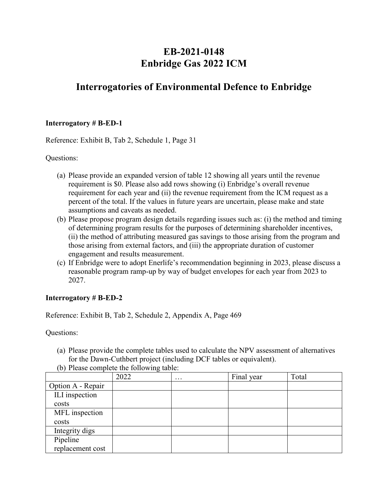# **EB-2021-0148 Enbridge Gas 2022 ICM**

# **Interrogatories of Environmental Defence to Enbridge**

#### **Interrogatory # B-ED-1**

Reference: Exhibit B, Tab 2, Schedule 1, Page 31

Questions:

- (a) Please provide an expanded version of table 12 showing all years until the revenue requirement is \$0. Please also add rows showing (i) Enbridge's overall revenue requirement for each year and (ii) the revenue requirement from the ICM request as a percent of the total. If the values in future years are uncertain, please make and state assumptions and caveats as needed.
- (b) Please propose program design details regarding issues such as: (i) the method and timing of determining program results for the purposes of determining shareholder incentives, (ii) the method of attributing measured gas savings to those arising from the program and those arising from external factors, and (iii) the appropriate duration of customer engagement and results measurement.
- (c) If Enbridge were to adopt Enerlife's recommendation beginning in 2023, please discuss a reasonable program ramp-up by way of budget envelopes for each year from 2023 to 2027.

#### **Interrogatory # B-ED-2**

Reference: Exhibit B, Tab 2, Schedule 2, Appendix A, Page 469

Questions:

(a) Please provide the complete tables used to calculate the NPV assessment of alternatives for the Dawn-Cuthbert project (including DCF tables or equivalent).

|                   | 2022 | $\cdots$ | Final year | Total |
|-------------------|------|----------|------------|-------|
| Option A - Repair |      |          |            |       |
| ILI inspection    |      |          |            |       |
| costs             |      |          |            |       |
| MFL inspection    |      |          |            |       |
| costs             |      |          |            |       |
| Integrity digs    |      |          |            |       |
| Pipeline          |      |          |            |       |
| replacement cost  |      |          |            |       |

(b) Please complete the following table: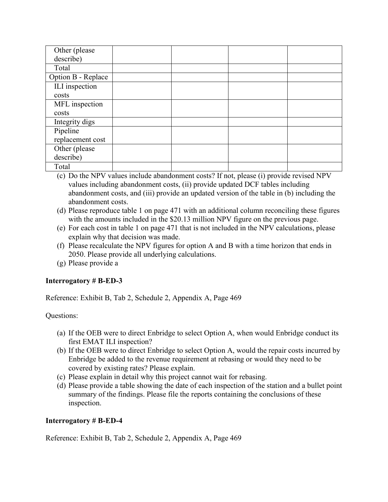| Other (please)     |  |  |
|--------------------|--|--|
| describe)          |  |  |
| Total              |  |  |
| Option B - Replace |  |  |
| ILI inspection     |  |  |
| costs              |  |  |
| MFL inspection     |  |  |
| costs              |  |  |
| Integrity digs     |  |  |
| Pipeline           |  |  |
| replacement cost   |  |  |
| Other (please      |  |  |
| describe)          |  |  |
| Total              |  |  |

- (c) Do the NPV values include abandonment costs? If not, please (i) provide revised NPV values including abandonment costs, (ii) provide updated DCF tables including abandonment costs, and (iii) provide an updated version of the table in (b) including the abandonment costs.
- (d) Please reproduce table 1 on page 471 with an additional column reconciling these figures with the amounts included in the \$20.13 million NPV figure on the previous page.
- (e) For each cost in table 1 on page 471 that is not included in the NPV calculations, please explain why that decision was made.
- (f) Please recalculate the NPV figures for option A and B with a time horizon that ends in 2050. Please provide all underlying calculations.
- (g) Please provide a

#### **Interrogatory # B-ED-3**

Reference: Exhibit B, Tab 2, Schedule 2, Appendix A, Page 469

Questions:

- (a) If the OEB were to direct Enbridge to select Option A, when would Enbridge conduct its first EMAT ILI inspection?
- (b) If the OEB were to direct Enbridge to select Option A, would the repair costs incurred by Enbridge be added to the revenue requirement at rebasing or would they need to be covered by existing rates? Please explain.
- (c) Please explain in detail why this project cannot wait for rebasing.
- (d) Please provide a table showing the date of each inspection of the station and a bullet point summary of the findings. Please file the reports containing the conclusions of these inspection.

# **Interrogatory # B-ED-4**

Reference: Exhibit B, Tab 2, Schedule 2, Appendix A, Page 469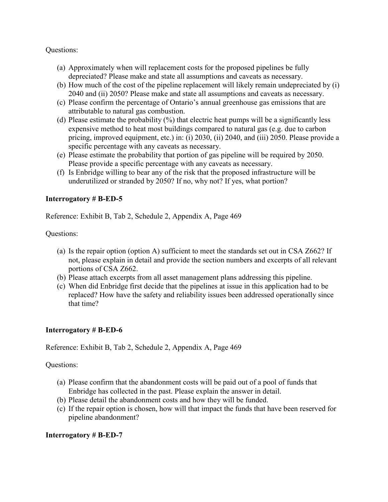#### Questions:

- (a) Approximately when will replacement costs for the proposed pipelines be fully depreciated? Please make and state all assumptions and caveats as necessary.
- (b) How much of the cost of the pipeline replacement will likely remain undepreciated by (i) 2040 and (ii) 2050? Please make and state all assumptions and caveats as necessary.
- (c) Please confirm the percentage of Ontario's annual greenhouse gas emissions that are attributable to natural gas combustion.
- (d) Please estimate the probability  $(\%)$  that electric heat pumps will be a significantly less expensive method to heat most buildings compared to natural gas (e.g. due to carbon pricing, improved equipment, etc.) in: (i) 2030, (ii) 2040, and (iii) 2050. Please provide a specific percentage with any caveats as necessary.
- (e) Please estimate the probability that portion of gas pipeline will be required by 2050. Please provide a specific percentage with any caveats as necessary.
- (f) Is Enbridge willing to bear any of the risk that the proposed infrastructure will be underutilized or stranded by 2050? If no, why not? If yes, what portion?

#### **Interrogatory # B-ED-5**

Reference: Exhibit B, Tab 2, Schedule 2, Appendix A, Page 469

Questions:

- (a) Is the repair option (option A) sufficient to meet the standards set out in CSA Z662? If not, please explain in detail and provide the section numbers and excerpts of all relevant portions of CSA Z662.
- (b) Please attach excerpts from all asset management plans addressing this pipeline.
- (c) When did Enbridge first decide that the pipelines at issue in this application had to be replaced? How have the safety and reliability issues been addressed operationally since that time?

#### **Interrogatory # B-ED-6**

#### Reference: Exhibit B, Tab 2, Schedule 2, Appendix A, Page 469

#### Questions:

- (a) Please confirm that the abandonment costs will be paid out of a pool of funds that Enbridge has collected in the past. Please explain the answer in detail.
- (b) Please detail the abandonment costs and how they will be funded.
- (c) If the repair option is chosen, how will that impact the funds that have been reserved for pipeline abandonment?

#### **Interrogatory # B-ED-7**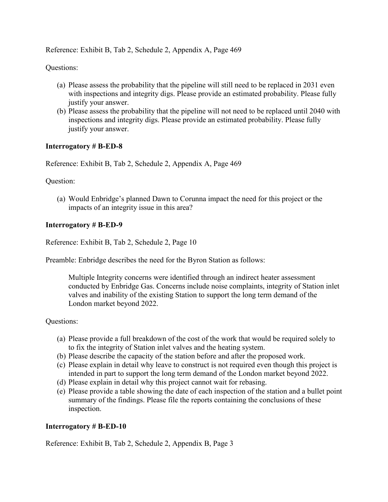Reference: Exhibit B, Tab 2, Schedule 2, Appendix A, Page 469

Questions:

- (a) Please assess the probability that the pipeline will still need to be replaced in 2031 even with inspections and integrity digs. Please provide an estimated probability. Please fully justify your answer.
- (b) Please assess the probability that the pipeline will not need to be replaced until 2040 with inspections and integrity digs. Please provide an estimated probability. Please fully justify your answer.

## **Interrogatory # B-ED-8**

Reference: Exhibit B, Tab 2, Schedule 2, Appendix A, Page 469

Question:

(a) Would Enbridge's planned Dawn to Corunna impact the need for this project or the impacts of an integrity issue in this area?

#### **Interrogatory # B-ED-9**

Reference: Exhibit B, Tab 2, Schedule 2, Page 10

Preamble: Enbridge describes the need for the Byron Station as follows:

Multiple Integrity concerns were identified through an indirect heater assessment conducted by Enbridge Gas. Concerns include noise complaints, integrity of Station inlet valves and inability of the existing Station to support the long term demand of the London market beyond 2022.

Questions:

- (a) Please provide a full breakdown of the cost of the work that would be required solely to to fix the integrity of Station inlet valves and the heating system.
- (b) Please describe the capacity of the station before and after the proposed work.
- (c) Please explain in detail why leave to construct is not required even though this project is intended in part to support the long term demand of the London market beyond 2022.
- (d) Please explain in detail why this project cannot wait for rebasing.
- (e) Please provide a table showing the date of each inspection of the station and a bullet point summary of the findings. Please file the reports containing the conclusions of these inspection.

#### **Interrogatory # B-ED-10**

Reference: Exhibit B, Tab 2, Schedule 2, Appendix B, Page 3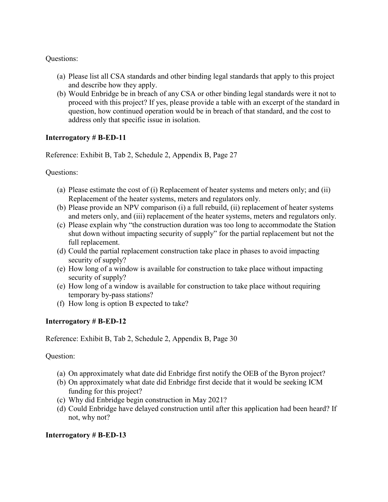#### Questions:

- (a) Please list all CSA standards and other binding legal standards that apply to this project and describe how they apply.
- (b) Would Enbridge be in breach of any CSA or other binding legal standards were it not to proceed with this project? If yes, please provide a table with an excerpt of the standard in question, how continued operation would be in breach of that standard, and the cost to address only that specific issue in isolation.

## **Interrogatory # B-ED-11**

Reference: Exhibit B, Tab 2, Schedule 2, Appendix B, Page 27

Questions:

- (a) Please estimate the cost of (i) Replacement of heater systems and meters only; and (ii) Replacement of the heater systems, meters and regulators only.
- (b) Please provide an NPV comparison (i) a full rebuild, (ii) replacement of heater systems and meters only, and (iii) replacement of the heater systems, meters and regulators only.
- (c) Please explain why "the construction duration was too long to accommodate the Station shut down without impacting security of supply" for the partial replacement but not the full replacement.
- (d) Could the partial replacement construction take place in phases to avoid impacting security of supply?
- (e) How long of a window is available for construction to take place without impacting security of supply?
- (e) How long of a window is available for construction to take place without requiring temporary by-pass stations?
- (f) How long is option B expected to take?

# **Interrogatory # B-ED-12**

Reference: Exhibit B, Tab 2, Schedule 2, Appendix B, Page 30

Question:

- (a) On approximately what date did Enbridge first notify the OEB of the Byron project?
- (b) On approximately what date did Enbridge first decide that it would be seeking ICM funding for this project?
- (c) Why did Enbridge begin construction in May 2021?
- (d) Could Enbridge have delayed construction until after this application had been heard? If not, why not?

# **Interrogatory # B-ED-13**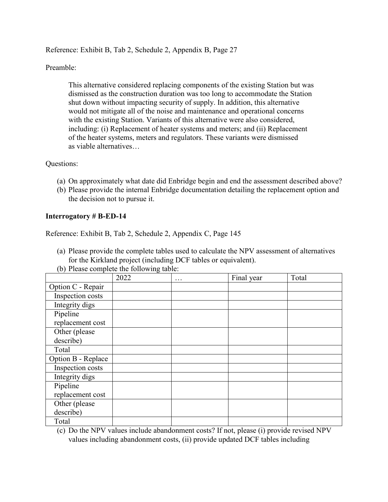Reference: Exhibit B, Tab 2, Schedule 2, Appendix B, Page 27

Preamble:

This alternative considered replacing components of the existing Station but was dismissed as the construction duration was too long to accommodate the Station shut down without impacting security of supply. In addition, this alternative would not mitigate all of the noise and maintenance and operational concerns with the existing Station. Variants of this alternative were also considered, including: (i) Replacement of heater systems and meters; and (ii) Replacement of the heater systems, meters and regulators. These variants were dismissed as viable alternatives…

#### Questions:

- (a) On approximately what date did Enbridge begin and end the assessment described above?
- (b) Please provide the internal Enbridge documentation detailing the replacement option and the decision not to pursue it.

# **Interrogatory # B-ED-14**

Reference: Exhibit B, Tab 2, Schedule 2, Appendix C, Page 145

- (a) Please provide the complete tables used to calculate the NPV assessment of alternatives for the Kirkland project (including DCF tables or equivalent).
- (b) Please complete the following table:

|                    | 2022 | . | Final year | Total |
|--------------------|------|---|------------|-------|
| Option C - Repair  |      |   |            |       |
| Inspection costs   |      |   |            |       |
| Integrity digs     |      |   |            |       |
| Pipeline           |      |   |            |       |
| replacement cost   |      |   |            |       |
| Other (please      |      |   |            |       |
| describe)          |      |   |            |       |
| Total              |      |   |            |       |
| Option B - Replace |      |   |            |       |
| Inspection costs   |      |   |            |       |
| Integrity digs     |      |   |            |       |
| Pipeline           |      |   |            |       |
| replacement cost   |      |   |            |       |
| Other (please      |      |   |            |       |
| describe)          |      |   |            |       |
| Total              |      |   |            |       |

(c) Do the NPV values include abandonment costs? If not, please (i) provide revised NPV values including abandonment costs, (ii) provide updated DCF tables including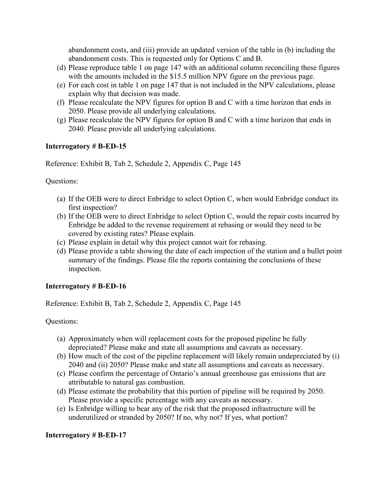abandonment costs, and (iii) provide an updated version of the table in (b) including the abandonment costs. This is requested only for Options C and B.

- (d) Please reproduce table 1 on page 147 with an additional column reconciling these figures with the amounts included in the \$15.5 million NPV figure on the previous page.
- (e) For each cost in table 1 on page 147 that is not included in the NPV calculations, please explain why that decision was made.
- (f) Please recalculate the NPV figures for option B and C with a time horizon that ends in 2050. Please provide all underlying calculations.
- (g) Please recalculate the NPV figures for option B and C with a time horizon that ends in 2040. Please provide all underlying calculations.

## **Interrogatory # B-ED-15**

Reference: Exhibit B, Tab 2, Schedule 2, Appendix C, Page 145

Questions:

- (a) If the OEB were to direct Enbridge to select Option C, when would Enbridge conduct its first inspection?
- (b) If the OEB were to direct Enbridge to select Option C, would the repair costs incurred by Enbridge be added to the revenue requirement at rebasing or would they need to be covered by existing rates? Please explain.
- (c) Please explain in detail why this project cannot wait for rebasing.
- (d) Please provide a table showing the date of each inspection of the station and a bullet point summary of the findings. Please file the reports containing the conclusions of these inspection.

#### **Interrogatory # B-ED-16**

Reference: Exhibit B, Tab 2, Schedule 2, Appendix C, Page 145

Questions:

- (a) Approximately when will replacement costs for the proposed pipeline be fully depreciated? Please make and state all assumptions and caveats as necessary.
- (b) How much of the cost of the pipeline replacement will likely remain undepreciated by (i) 2040 and (ii) 2050? Please make and state all assumptions and caveats as necessary.
- (c) Please confirm the percentage of Ontario's annual greenhouse gas emissions that are attributable to natural gas combustion.
- (d) Please estimate the probability that this portion of pipeline will be required by 2050. Please provide a specific percentage with any caveats as necessary.
- (e) Is Enbridge willing to bear any of the risk that the proposed infrastructure will be underutilized or stranded by 2050? If no, why not? If yes, what portion?

# **Interrogatory # B-ED-17**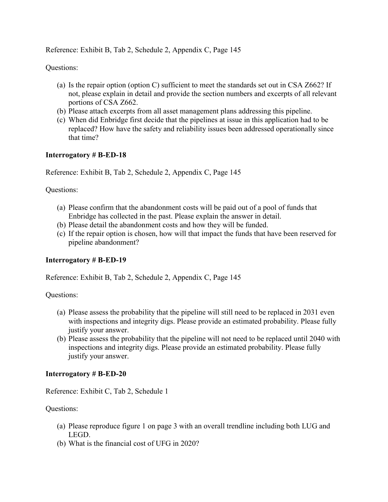Reference: Exhibit B, Tab 2, Schedule 2, Appendix C, Page 145

Questions:

- (a) Is the repair option (option C) sufficient to meet the standards set out in CSA Z662? If not, please explain in detail and provide the section numbers and excerpts of all relevant portions of CSA Z662.
- (b) Please attach excerpts from all asset management plans addressing this pipeline.
- (c) When did Enbridge first decide that the pipelines at issue in this application had to be replaced? How have the safety and reliability issues been addressed operationally since that time?

## **Interrogatory # B-ED-18**

Reference: Exhibit B, Tab 2, Schedule 2, Appendix C, Page 145

Questions:

- (a) Please confirm that the abandonment costs will be paid out of a pool of funds that Enbridge has collected in the past. Please explain the answer in detail.
- (b) Please detail the abandonment costs and how they will be funded.
- (c) If the repair option is chosen, how will that impact the funds that have been reserved for pipeline abandonment?

#### **Interrogatory # B-ED-19**

Reference: Exhibit B, Tab 2, Schedule 2, Appendix C, Page 145

Questions:

- (a) Please assess the probability that the pipeline will still need to be replaced in 2031 even with inspections and integrity digs. Please provide an estimated probability. Please fully justify your answer.
- (b) Please assess the probability that the pipeline will not need to be replaced until 2040 with inspections and integrity digs. Please provide an estimated probability. Please fully justify your answer.

#### **Interrogatory # B-ED-20**

Reference: Exhibit C, Tab 2, Schedule 1

Questions:

- (a) Please reproduce figure 1 on page 3 with an overall trendline including both LUG and LEGD.
- (b) What is the financial cost of UFG in 2020?